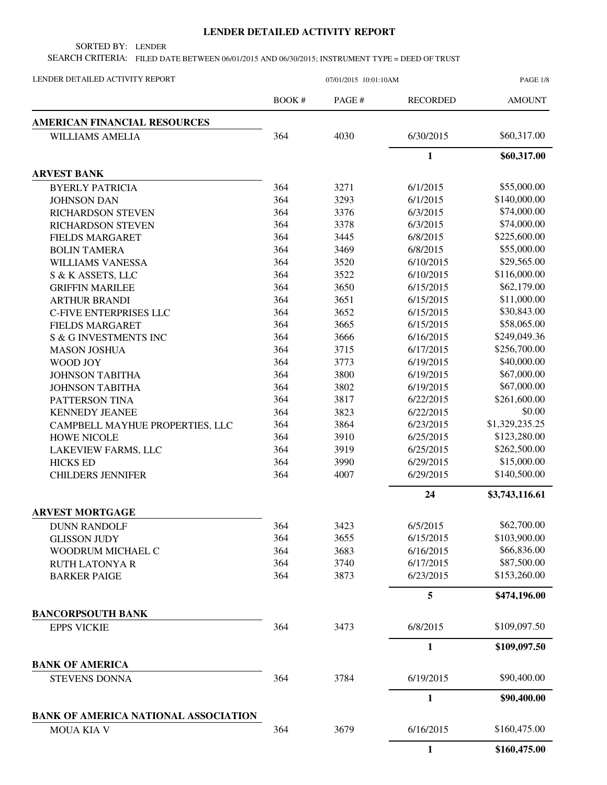## **LENDER DETAILED ACTIVITY REPORT**

SORTED BY: LENDER

SEARCH CRITERIA: FILED DATE BETWEEN 06/01/2015 AND 06/30/2015; INSTRUMENT TYPE = DEED OF TRUST

| LENDER DETAILED ACTIVITY REPORT                                  | 07/01/2015 10:01:10AM |        |                 | <b>PAGE 1/8</b> |
|------------------------------------------------------------------|-----------------------|--------|-----------------|-----------------|
|                                                                  | BOOK #                | PAGE # | <b>RECORDED</b> | <b>AMOUNT</b>   |
| AMERICAN FINANCIAL RESOURCES                                     |                       |        |                 |                 |
| <b>WILLIAMS AMELIA</b>                                           | 364                   | 4030   | 6/30/2015       | \$60,317.00     |
|                                                                  |                       |        | $\mathbf{1}$    | \$60,317.00     |
| <b>ARVEST BANK</b>                                               |                       |        |                 |                 |
| <b>BYERLY PATRICIA</b>                                           | 364                   | 3271   | 6/1/2015        | \$55,000.00     |
| <b>JOHNSON DAN</b>                                               | 364                   | 3293   | 6/1/2015        | \$140,000.00    |
| <b>RICHARDSON STEVEN</b>                                         | 364                   | 3376   | 6/3/2015        | \$74,000.00     |
| <b>RICHARDSON STEVEN</b>                                         | 364                   | 3378   | 6/3/2015        | \$74,000.00     |
| <b>FIELDS MARGARET</b>                                           | 364                   | 3445   | 6/8/2015        | \$225,600.00    |
| <b>BOLIN TAMERA</b>                                              | 364                   | 3469   | 6/8/2015        | \$55,000.00     |
| WILLIAMS VANESSA                                                 | 364                   | 3520   | 6/10/2015       | \$29,565.00     |
| S & K ASSETS, LLC                                                | 364                   | 3522   | 6/10/2015       | \$116,000.00    |
| <b>GRIFFIN MARILEE</b>                                           | 364                   | 3650   | 6/15/2015       | \$62,179.00     |
| <b>ARTHUR BRANDI</b>                                             | 364                   | 3651   | 6/15/2015       | \$11,000.00     |
| C-FIVE ENTERPRISES LLC                                           | 364                   | 3652   | 6/15/2015       | \$30,843.00     |
| <b>FIELDS MARGARET</b>                                           | 364                   | 3665   | 6/15/2015       | \$58,065.00     |
| S & G INVESTMENTS INC                                            | 364                   | 3666   | 6/16/2015       | \$249,049.36    |
| <b>MASON JOSHUA</b>                                              | 364                   | 3715   | 6/17/2015       | \$256,700.00    |
| WOOD JOY                                                         | 364                   | 3773   | 6/19/2015       | \$40,000.00     |
| <b>JOHNSON TABITHA</b>                                           | 364                   | 3800   | 6/19/2015       | \$67,000.00     |
| <b>JOHNSON TABITHA</b>                                           | 364                   | 3802   | 6/19/2015       | \$67,000.00     |
| PATTERSON TINA                                                   | 364                   | 3817   | 6/22/2015       | \$261,600.00    |
| <b>KENNEDY JEANEE</b>                                            | 364                   | 3823   | 6/22/2015       | \$0.00          |
| CAMPBELL MAYHUE PROPERTIES, LLC                                  | 364                   | 3864   | 6/23/2015       | \$1,329,235.25  |
| <b>HOWE NICOLE</b>                                               | 364                   | 3910   | 6/25/2015       | \$123,280.00    |
| LAKEVIEW FARMS, LLC                                              | 364                   | 3919   | 6/25/2015       | \$262,500.00    |
| <b>HICKS ED</b>                                                  | 364                   | 3990   | 6/29/2015       | \$15,000.00     |
| <b>CHILDERS JENNIFER</b>                                         | 364                   | 4007   | 6/29/2015       | \$140,500.00    |
|                                                                  |                       |        | 24              | \$3,743,116.61  |
| <b>ARVEST MORTGAGE</b>                                           |                       |        |                 |                 |
| <b>DUNN RANDOLF</b>                                              | 364                   | 3423   | 6/5/2015        | \$62,700.00     |
| <b>GLISSON JUDY</b>                                              | 364                   | 3655   | 6/15/2015       | \$103,900.00    |
| WOODRUM MICHAEL C                                                | 364                   | 3683   | 6/16/2015       | \$66,836.00     |
| <b>RUTH LATONYA R</b>                                            | 364                   | 3740   | 6/17/2015       | \$87,500.00     |
| <b>BARKER PAIGE</b>                                              | 364                   | 3873   | 6/23/2015       | \$153,260.00    |
|                                                                  |                       |        | 5               | \$474,196.00    |
| <b>BANCORPSOUTH BANK</b>                                         |                       |        |                 |                 |
| <b>EPPS VICKIE</b>                                               | 364                   | 3473   | 6/8/2015        | \$109,097.50    |
|                                                                  |                       |        | $\mathbf{1}$    | \$109,097.50    |
| <b>BANK OF AMERICA</b>                                           |                       |        |                 |                 |
| <b>STEVENS DONNA</b>                                             | 364                   | 3784   | 6/19/2015       | \$90,400.00     |
|                                                                  |                       |        | $\mathbf{1}$    | \$90,400.00     |
| <b>BANK OF AMERICA NATIONAL ASSOCIATION</b><br><b>MOUA KIA V</b> | 364                   | 3679   | 6/16/2015       | \$160,475.00    |
|                                                                  |                       |        | $\mathbf{1}$    | \$160,475.00    |
|                                                                  |                       |        |                 |                 |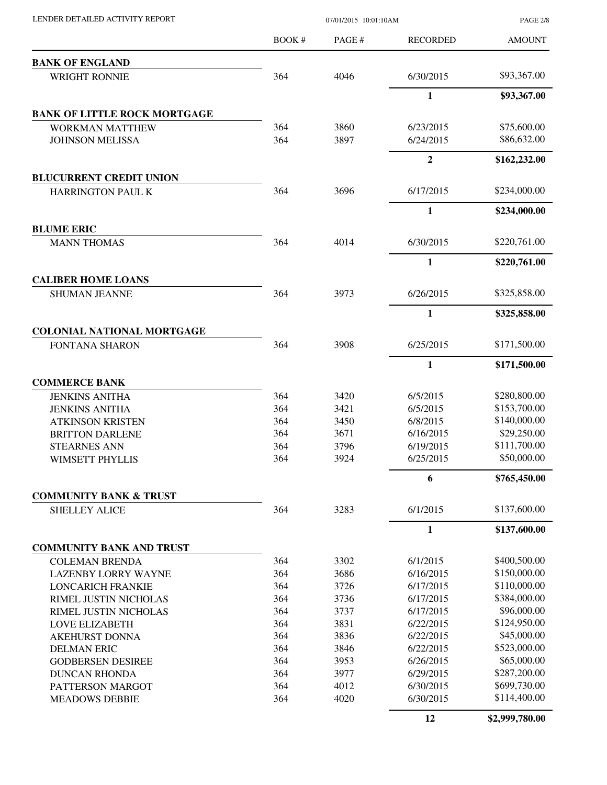| LENDER DETAILED ACTIVITY REPORT                   | 07/01/2015 10:01:10AM |        |                 | <b>PAGE 2/8</b> |
|---------------------------------------------------|-----------------------|--------|-----------------|-----------------|
|                                                   | BOOK #                | PAGE # | <b>RECORDED</b> | <b>AMOUNT</b>   |
| <b>BANK OF ENGLAND</b>                            |                       |        |                 |                 |
| <b>WRIGHT RONNIE</b>                              | 364                   | 4046   | 6/30/2015       | \$93,367.00     |
|                                                   |                       |        | 1               | \$93,367.00     |
| <b>BANK OF LITTLE ROCK MORTGAGE</b>               |                       |        |                 |                 |
| <b>WORKMAN MATTHEW</b>                            | 364                   | 3860   | 6/23/2015       | \$75,600.00     |
| <b>JOHNSON MELISSA</b>                            | 364                   | 3897   | 6/24/2015       | \$86,632.00     |
|                                                   |                       |        | $\overline{2}$  | \$162,232.00    |
| <b>BLUCURRENT CREDIT UNION</b>                    |                       |        |                 |                 |
| <b>HARRINGTON PAUL K</b>                          | 364                   | 3696   | 6/17/2015       | \$234,000.00    |
|                                                   |                       |        | 1               | \$234,000.00    |
| <b>BLUME ERIC</b>                                 |                       |        |                 |                 |
| <b>MANN THOMAS</b>                                | 364                   | 4014   | 6/30/2015       | \$220,761.00    |
|                                                   |                       |        | $\mathbf{1}$    | \$220,761.00    |
| <b>CALIBER HOME LOANS</b><br><b>SHUMAN JEANNE</b> | 364                   | 3973   | 6/26/2015       | \$325,858.00    |
|                                                   |                       |        | 1               | \$325,858.00    |
| <b>COLONIAL NATIONAL MORTGAGE</b>                 |                       |        |                 |                 |
| FONTANA SHARON                                    | 364                   | 3908   | 6/25/2015       | \$171,500.00    |
|                                                   |                       |        | 1               | \$171,500.00    |
| <b>COMMERCE BANK</b>                              |                       |        |                 |                 |
| <b>JENKINS ANITHA</b>                             | 364                   | 3420   | 6/5/2015        | \$280,800.00    |
| <b>JENKINS ANITHA</b>                             | 364                   | 3421   | 6/5/2015        | \$153,700.00    |
| <b>ATKINSON KRISTEN</b>                           | 364                   | 3450   | 6/8/2015        | \$140,000.00    |
| <b>BRITTON DARLENE</b>                            | 364                   | 3671   | 6/16/2015       | \$29,250.00     |
| <b>STEARNES ANN</b>                               | 364                   | 3796   | 6/19/2015       | \$111,700.00    |
| WIMSETT PHYLLIS                                   | 364                   | 3924   | 6/25/2015       | \$50,000.00     |
|                                                   |                       |        | 6               | \$765,450.00    |
| <b>COMMUNITY BANK &amp; TRUST</b>                 |                       |        |                 |                 |
| <b>SHELLEY ALICE</b>                              | 364                   | 3283   | 6/1/2015        | \$137,600.00    |
|                                                   |                       |        | $\mathbf{1}$    | \$137,600.00    |
| <b>COMMUNITY BANK AND TRUST</b>                   |                       |        |                 |                 |
| <b>COLEMAN BRENDA</b>                             | 364                   | 3302   | 6/1/2015        | \$400,500.00    |
| <b>LAZENBY LORRY WAYNE</b>                        | 364                   | 3686   | 6/16/2015       | \$150,000.00    |
| <b>LONCARICH FRANKIE</b>                          | 364                   | 3726   | 6/17/2015       | \$110,000.00    |
| RIMEL JUSTIN NICHOLAS                             | 364                   | 3736   | 6/17/2015       | \$384,000.00    |
| RIMEL JUSTIN NICHOLAS                             | 364                   | 3737   | 6/17/2015       | \$96,000.00     |
| <b>LOVE ELIZABETH</b>                             | 364                   | 3831   | 6/22/2015       | \$124,950.00    |
| <b>AKEHURST DONNA</b>                             | 364                   | 3836   | 6/22/2015       | \$45,000.00     |
| <b>DELMAN ERIC</b>                                | 364                   | 3846   | 6/22/2015       | \$523,000.00    |
| <b>GODBERSEN DESIREE</b>                          | 364                   | 3953   | 6/26/2015       | \$65,000.00     |
| <b>DUNCAN RHONDA</b>                              | 364                   | 3977   | 6/29/2015       | \$287,200.00    |
| PATTERSON MARGOT                                  | 364                   | 4012   | 6/30/2015       | \$699,730.00    |
| <b>MEADOWS DEBBIE</b>                             | 364                   | 4020   | 6/30/2015       | \$114,400.00    |
|                                                   |                       |        | 12              | \$2,999,780.00  |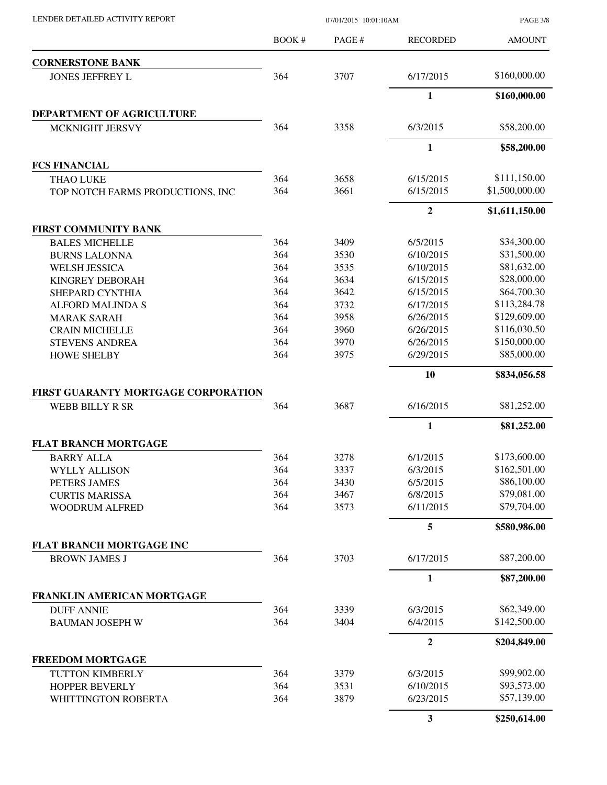LENDER DETAILED ACTIVITY REPORT 07/01/2015 10:01:10AM

PAGE 3/8

|                                     | <b>BOOK#</b>                                                                                                                                                                                                                                                                                                                                                                                                                                                                                                                 | PAGE# | <b>RECORDED</b>  | <b>AMOUNT</b>  |
|-------------------------------------|------------------------------------------------------------------------------------------------------------------------------------------------------------------------------------------------------------------------------------------------------------------------------------------------------------------------------------------------------------------------------------------------------------------------------------------------------------------------------------------------------------------------------|-------|------------------|----------------|
| <b>CORNERSTONE BANK</b>             |                                                                                                                                                                                                                                                                                                                                                                                                                                                                                                                              |       |                  |                |
| <b>JONES JEFFREY L</b>              | 364                                                                                                                                                                                                                                                                                                                                                                                                                                                                                                                          | 3707  | 6/17/2015        | \$160,000.00   |
|                                     |                                                                                                                                                                                                                                                                                                                                                                                                                                                                                                                              |       | $\mathbf{1}$     | \$160,000.00   |
| DEPARTMENT OF AGRICULTURE           |                                                                                                                                                                                                                                                                                                                                                                                                                                                                                                                              |       |                  |                |
| MCKNIGHT JERSVY                     | 364                                                                                                                                                                                                                                                                                                                                                                                                                                                                                                                          | 3358  | 6/3/2015         | \$58,200.00    |
|                                     |                                                                                                                                                                                                                                                                                                                                                                                                                                                                                                                              |       | $\mathbf{1}$     | \$58,200.00    |
| <b>FCS FINANCIAL</b>                | 364<br>3658<br>3661<br>364<br>364<br>3409<br><b>BALES MICHELLE</b><br>364<br>3530<br><b>BURNS LALONNA</b><br>364<br>3535<br><b>WELSH JESSICA</b><br>364<br>3634<br><b>KINGREY DEBORAH</b><br>364<br>3642<br>SHEPARD CYNTHIA<br>364<br>3732<br><b>ALFORD MALINDA S</b><br>364<br>3958<br><b>MARAK SARAH</b><br>364<br>3960<br>364<br>3970<br>364<br>3975<br>364<br>3687<br>3278<br>364<br>364<br>3337<br>364<br>3430<br>364<br>3467<br>364<br>3573<br>364<br>3703<br>3339<br>364<br>364<br>3404<br>3379<br>364<br>364<br>3531 |       |                  |                |
| <b>THAO LUKE</b>                    |                                                                                                                                                                                                                                                                                                                                                                                                                                                                                                                              |       | 6/15/2015        | \$111,150.00   |
| TOP NOTCH FARMS PRODUCTIONS, INC    |                                                                                                                                                                                                                                                                                                                                                                                                                                                                                                                              |       | 6/15/2015        | \$1,500,000.00 |
|                                     |                                                                                                                                                                                                                                                                                                                                                                                                                                                                                                                              |       | $\overline{2}$   | \$1,611,150.00 |
| <b>FIRST COMMUNITY BANK</b>         |                                                                                                                                                                                                                                                                                                                                                                                                                                                                                                                              |       |                  |                |
|                                     |                                                                                                                                                                                                                                                                                                                                                                                                                                                                                                                              |       | 6/5/2015         | \$34,300.00    |
|                                     |                                                                                                                                                                                                                                                                                                                                                                                                                                                                                                                              |       | 6/10/2015        | \$31,500.00    |
|                                     |                                                                                                                                                                                                                                                                                                                                                                                                                                                                                                                              |       | 6/10/2015        | \$81,632.00    |
|                                     |                                                                                                                                                                                                                                                                                                                                                                                                                                                                                                                              |       | 6/15/2015        | \$28,000.00    |
|                                     |                                                                                                                                                                                                                                                                                                                                                                                                                                                                                                                              |       | 6/15/2015        | \$64,700.30    |
|                                     |                                                                                                                                                                                                                                                                                                                                                                                                                                                                                                                              |       | 6/17/2015        | \$113,284.78   |
|                                     |                                                                                                                                                                                                                                                                                                                                                                                                                                                                                                                              |       | 6/26/2015        | \$129,609.00   |
| <b>CRAIN MICHELLE</b>               |                                                                                                                                                                                                                                                                                                                                                                                                                                                                                                                              |       | 6/26/2015        | \$116,030.50   |
| <b>STEVENS ANDREA</b>               |                                                                                                                                                                                                                                                                                                                                                                                                                                                                                                                              |       | 6/26/2015        | \$150,000.00   |
| <b>HOWE SHELBY</b>                  |                                                                                                                                                                                                                                                                                                                                                                                                                                                                                                                              |       | 6/29/2015        | \$85,000.00    |
|                                     |                                                                                                                                                                                                                                                                                                                                                                                                                                                                                                                              |       | 10               | \$834,056.58   |
| FIRST GUARANTY MORTGAGE CORPORATION |                                                                                                                                                                                                                                                                                                                                                                                                                                                                                                                              |       |                  |                |
| WEBB BILLY R SR                     |                                                                                                                                                                                                                                                                                                                                                                                                                                                                                                                              |       | 6/16/2015        | \$81,252.00    |
|                                     |                                                                                                                                                                                                                                                                                                                                                                                                                                                                                                                              |       | $\mathbf{1}$     | \$81,252.00    |
| <b>FLAT BRANCH MORTGAGE</b>         |                                                                                                                                                                                                                                                                                                                                                                                                                                                                                                                              |       |                  |                |
| <b>BARRY ALLA</b>                   |                                                                                                                                                                                                                                                                                                                                                                                                                                                                                                                              |       | 6/1/2015         | \$173,600.00   |
| <b>WYLLY ALLISON</b>                |                                                                                                                                                                                                                                                                                                                                                                                                                                                                                                                              |       | 6/3/2015         | \$162,501.00   |
| PETERS JAMES                        |                                                                                                                                                                                                                                                                                                                                                                                                                                                                                                                              |       | 6/5/2015         | \$86,100.00    |
| <b>CURTIS MARISSA</b>               |                                                                                                                                                                                                                                                                                                                                                                                                                                                                                                                              |       | 6/8/2015         | \$79,081.00    |
| <b>WOODRUM ALFRED</b>               |                                                                                                                                                                                                                                                                                                                                                                                                                                                                                                                              |       | 6/11/2015        | \$79,704.00    |
|                                     |                                                                                                                                                                                                                                                                                                                                                                                                                                                                                                                              |       | 5                | \$580,986.00   |
| <b>FLAT BRANCH MORTGAGE INC</b>     |                                                                                                                                                                                                                                                                                                                                                                                                                                                                                                                              |       |                  |                |
| <b>BROWN JAMES J</b>                |                                                                                                                                                                                                                                                                                                                                                                                                                                                                                                                              |       | 6/17/2015        | \$87,200.00    |
|                                     |                                                                                                                                                                                                                                                                                                                                                                                                                                                                                                                              |       | 1                | \$87,200.00    |
| FRANKLIN AMERICAN MORTGAGE          |                                                                                                                                                                                                                                                                                                                                                                                                                                                                                                                              |       |                  |                |
| <b>DUFF ANNIE</b>                   |                                                                                                                                                                                                                                                                                                                                                                                                                                                                                                                              |       | 6/3/2015         | \$62,349.00    |
| <b>BAUMAN JOSEPH W</b>              |                                                                                                                                                                                                                                                                                                                                                                                                                                                                                                                              |       | 6/4/2015         | \$142,500.00   |
|                                     |                                                                                                                                                                                                                                                                                                                                                                                                                                                                                                                              |       | $\boldsymbol{2}$ | \$204,849.00   |
| <b>FREEDOM MORTGAGE</b>             |                                                                                                                                                                                                                                                                                                                                                                                                                                                                                                                              |       |                  |                |
| TUTTON KIMBERLY                     |                                                                                                                                                                                                                                                                                                                                                                                                                                                                                                                              |       | 6/3/2015         | \$99,902.00    |
| HOPPER BEVERLY                      |                                                                                                                                                                                                                                                                                                                                                                                                                                                                                                                              |       | 6/10/2015        | \$93,573.00    |
| WHITTINGTON ROBERTA                 | 364                                                                                                                                                                                                                                                                                                                                                                                                                                                                                                                          | 3879  | 6/23/2015        | \$57,139.00    |
|                                     |                                                                                                                                                                                                                                                                                                                                                                                                                                                                                                                              |       | $\mathbf{3}$     | \$250,614.00   |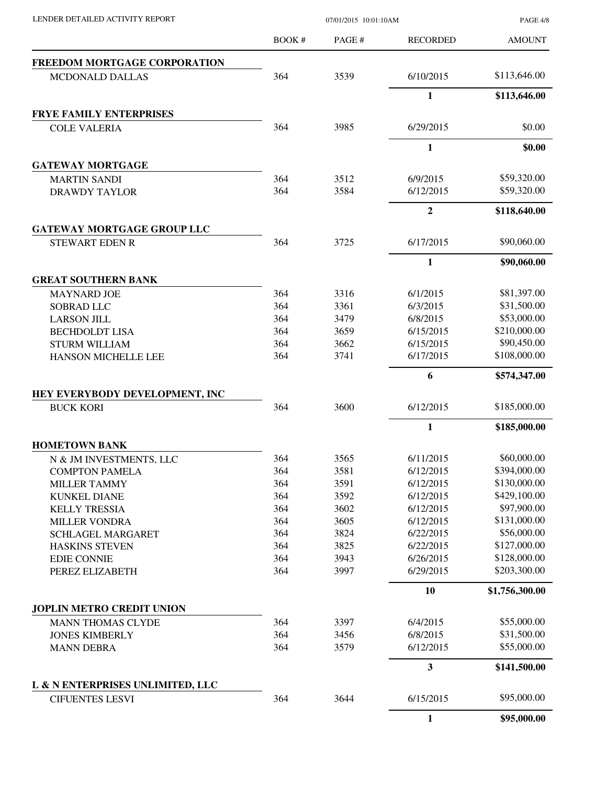PAGE 4/8

|                                     | BOOK#                                                                                                                                                                                                                                                                                                                                                            | PAGE#        | <b>RECORDED</b> | <b>AMOUNT</b>  |
|-------------------------------------|------------------------------------------------------------------------------------------------------------------------------------------------------------------------------------------------------------------------------------------------------------------------------------------------------------------------------------------------------------------|--------------|-----------------|----------------|
| <b>FREEDOM MORTGAGE CORPORATION</b> |                                                                                                                                                                                                                                                                                                                                                                  |              |                 |                |
| <b>MCDONALD DALLAS</b>              | 364                                                                                                                                                                                                                                                                                                                                                              | 3539         | 6/10/2015       | \$113,646.00   |
|                                     |                                                                                                                                                                                                                                                                                                                                                                  |              | $\mathbf{1}$    | \$113,646.00   |
| <b>FRYE FAMILY ENTERPRISES</b>      |                                                                                                                                                                                                                                                                                                                                                                  |              |                 |                |
| <b>COLE VALERIA</b>                 | 364                                                                                                                                                                                                                                                                                                                                                              | 3985         | 6/29/2015       | \$0.00         |
|                                     |                                                                                                                                                                                                                                                                                                                                                                  |              | 1               | \$0.00         |
| <b>GATEWAY MORTGAGE</b>             |                                                                                                                                                                                                                                                                                                                                                                  |              |                 |                |
| <b>MARTIN SANDI</b>                 | 364                                                                                                                                                                                                                                                                                                                                                              | 3512         | 6/9/2015        | \$59,320.00    |
| <b>DRAWDY TAYLOR</b>                | 364                                                                                                                                                                                                                                                                                                                                                              | 3584         | 6/12/2015       | \$59,320.00    |
|                                     |                                                                                                                                                                                                                                                                                                                                                                  |              | $\overline{2}$  | \$118,640.00   |
| <b>GATEWAY MORTGAGE GROUP LLC</b>   | 364<br>3725<br>364<br>3316<br>364<br>3361<br>364<br>3479<br>364<br>3659<br>364<br>3662<br>364<br>3741<br>364<br>3600<br>3565<br>364<br>3581<br>364<br>364<br>3591<br>364<br>3592<br>364<br>3602<br>364<br>3605<br>364<br>3824<br>364<br>3825<br>364<br>3943<br>364<br>3997<br>3397<br>364<br>364<br>3456<br>364<br>3579<br>3644<br><b>CIFUENTES LESVI</b><br>364 |              |                 |                |
| <b>STEWART EDEN R</b>               |                                                                                                                                                                                                                                                                                                                                                                  |              | 6/17/2015       | \$90,060.00    |
|                                     |                                                                                                                                                                                                                                                                                                                                                                  |              | $\mathbf{1}$    | \$90,060.00    |
| <b>GREAT SOUTHERN BANK</b>          |                                                                                                                                                                                                                                                                                                                                                                  |              |                 |                |
| <b>MAYNARD JOE</b>                  |                                                                                                                                                                                                                                                                                                                                                                  |              | 6/1/2015        | \$81,397.00    |
| <b>SOBRAD LLC</b>                   |                                                                                                                                                                                                                                                                                                                                                                  |              | 6/3/2015        | \$31,500.00    |
| <b>LARSON JILL</b>                  |                                                                                                                                                                                                                                                                                                                                                                  |              | 6/8/2015        | \$53,000.00    |
| <b>BECHDOLDT LISA</b>               |                                                                                                                                                                                                                                                                                                                                                                  |              | 6/15/2015       | \$210,000.00   |
| <b>STURM WILLIAM</b>                |                                                                                                                                                                                                                                                                                                                                                                  |              | 6/15/2015       | \$90,450.00    |
| HANSON MICHELLE LEE                 |                                                                                                                                                                                                                                                                                                                                                                  |              | 6/17/2015       | \$108,000.00   |
|                                     |                                                                                                                                                                                                                                                                                                                                                                  |              | 6               | \$574,347.00   |
| HEY EVERYBODY DEVELOPMENT, INC      |                                                                                                                                                                                                                                                                                                                                                                  |              |                 |                |
| <b>BUCK KORI</b>                    |                                                                                                                                                                                                                                                                                                                                                                  |              | 6/12/2015       | \$185,000.00   |
|                                     |                                                                                                                                                                                                                                                                                                                                                                  |              | 1               | \$185,000.00   |
| <b>HOMETOWN BANK</b>                |                                                                                                                                                                                                                                                                                                                                                                  |              |                 |                |
| N & JM INVESTMENTS, LLC             |                                                                                                                                                                                                                                                                                                                                                                  |              | 6/11/2015       | \$60,000.00    |
| <b>COMPTON PAMELA</b>               |                                                                                                                                                                                                                                                                                                                                                                  |              | 6/12/2015       | \$394,000.00   |
| <b>MILLER TAMMY</b>                 |                                                                                                                                                                                                                                                                                                                                                                  |              | 6/12/2015       | \$130,000.00   |
| <b>KUNKEL DIANE</b>                 |                                                                                                                                                                                                                                                                                                                                                                  |              | 6/12/2015       | \$429,100.00   |
| <b>KELLY TRESSIA</b>                |                                                                                                                                                                                                                                                                                                                                                                  |              | 6/12/2015       | \$97,900.00    |
| <b>MILLER VONDRA</b>                |                                                                                                                                                                                                                                                                                                                                                                  |              | 6/12/2015       | \$131,000.00   |
| <b>SCHLAGEL MARGARET</b>            |                                                                                                                                                                                                                                                                                                                                                                  |              | 6/22/2015       | \$56,000.00    |
| <b>HASKINS STEVEN</b>               |                                                                                                                                                                                                                                                                                                                                                                  |              | 6/22/2015       | \$127,000.00   |
| <b>EDIE CONNIE</b>                  |                                                                                                                                                                                                                                                                                                                                                                  |              | 6/26/2015       | \$128,000.00   |
| PEREZ ELIZABETH                     |                                                                                                                                                                                                                                                                                                                                                                  |              | 6/29/2015       | \$203,300.00   |
|                                     |                                                                                                                                                                                                                                                                                                                                                                  |              | 10              | \$1,756,300.00 |
| <b>JOPLIN METRO CREDIT UNION</b>    |                                                                                                                                                                                                                                                                                                                                                                  |              |                 |                |
| <b>MANN THOMAS CLYDE</b>            |                                                                                                                                                                                                                                                                                                                                                                  |              | 6/4/2015        | \$55,000.00    |
| <b>JONES KIMBERLY</b>               |                                                                                                                                                                                                                                                                                                                                                                  |              | 6/8/2015        | \$31,500.00    |
| <b>MANN DEBRA</b>                   |                                                                                                                                                                                                                                                                                                                                                                  |              | 6/12/2015       | \$55,000.00    |
|                                     |                                                                                                                                                                                                                                                                                                                                                                  |              | 3               | \$141,500.00   |
| L & N ENTERPRISES UNLIMITED, LLC    |                                                                                                                                                                                                                                                                                                                                                                  |              |                 |                |
|                                     |                                                                                                                                                                                                                                                                                                                                                                  |              | 6/15/2015       | \$95,000.00    |
|                                     |                                                                                                                                                                                                                                                                                                                                                                  | $\mathbf{1}$ | \$95,000.00     |                |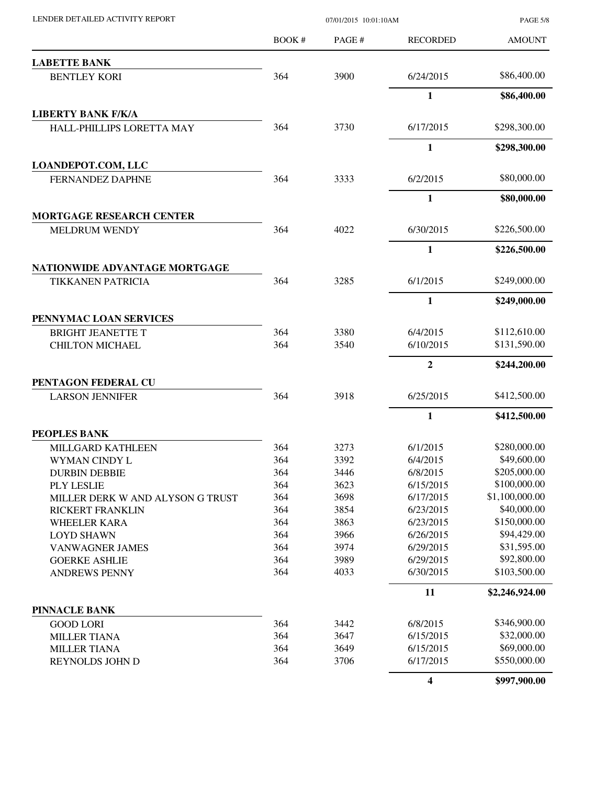| LENDER DETAILED ACTIVITY REPORT  | 07/01/2015 10:01:10AM |       |                 | <b>PAGE 5/8</b> |
|----------------------------------|-----------------------|-------|-----------------|-----------------|
|                                  | BOOK #                | PAGE# | <b>RECORDED</b> | <b>AMOUNT</b>   |
| <b>LABETTE BANK</b>              |                       |       |                 |                 |
| <b>BENTLEY KORI</b>              | 364                   | 3900  | 6/24/2015       | \$86,400.00     |
|                                  |                       |       | 1               | \$86,400.00     |
| <b>LIBERTY BANK F/K/A</b>        |                       |       |                 |                 |
| HALL-PHILLIPS LORETTA MAY        | 364                   | 3730  | 6/17/2015       | \$298,300.00    |
|                                  |                       |       | $\mathbf{1}$    | \$298,300.00    |
| <b>LOANDEPOT.COM, LLC</b>        |                       |       |                 |                 |
| <b>FERNANDEZ DAPHNE</b>          | 364                   | 3333  | 6/2/2015        | \$80,000.00     |
|                                  |                       |       | $\mathbf{1}$    | \$80,000.00     |
| <b>MORTGAGE RESEARCH CENTER</b>  |                       |       |                 |                 |
| <b>MELDRUM WENDY</b>             | 364                   | 4022  | 6/30/2015       | \$226,500.00    |
|                                  |                       |       | $\mathbf{1}$    | \$226,500.00    |
| NATIONWIDE ADVANTAGE MORTGAGE    |                       |       |                 |                 |
| <b>TIKKANEN PATRICIA</b>         | 364                   | 3285  | 6/1/2015        | \$249,000.00    |
|                                  |                       |       | 1               | \$249,000.00    |
| PENNYMAC LOAN SERVICES           |                       |       |                 |                 |
| <b>BRIGHT JEANETTE T</b>         | 364                   | 3380  | 6/4/2015        | \$112,610.00    |
| <b>CHILTON MICHAEL</b>           | 364                   | 3540  | 6/10/2015       | \$131,590.00    |
|                                  |                       |       | $\mathbf{2}$    | \$244,200.00    |
| PENTAGON FEDERAL CU              |                       |       |                 |                 |
| <b>LARSON JENNIFER</b>           | 364                   | 3918  | 6/25/2015       | \$412,500.00    |
|                                  |                       |       | $\mathbf{1}$    | \$412,500.00    |
| <b>PEOPLES BANK</b>              |                       |       |                 |                 |
| MILLGARD KATHLEEN                | 364                   | 3273  | 6/1/2015        | \$280,000.00    |
| WYMAN CINDY L                    | 364                   | 3392  | 6/4/2015        | \$49,600.00     |
| <b>DURBIN DEBBIE</b>             | 364                   | 3446  | 6/8/2015        | \$205,000.00    |
| PLY LESLIE                       | 364                   | 3623  | 6/15/2015       | \$100,000.00    |
| MILLER DERK W AND ALYSON G TRUST | 364                   | 3698  | 6/17/2015       | \$1,100,000.00  |
| <b>RICKERT FRANKLIN</b>          | 364                   | 3854  | 6/23/2015       | \$40,000.00     |
| <b>WHEELER KARA</b>              | 364                   | 3863  | 6/23/2015       | \$150,000.00    |
| <b>LOYD SHAWN</b>                | 364                   | 3966  | 6/26/2015       | \$94,429.00     |
| <b>VANWAGNER JAMES</b>           | 364                   | 3974  | 6/29/2015       | \$31,595.00     |
| <b>GOERKE ASHLIE</b>             | 364                   | 3989  | 6/29/2015       | \$92,800.00     |
| <b>ANDREWS PENNY</b>             | 364                   | 4033  | 6/30/2015       | \$103,500.00    |
|                                  |                       |       | 11              | \$2,246,924.00  |
| <b>PINNACLE BANK</b>             |                       |       |                 |                 |
| <b>GOOD LORI</b>                 | 364                   | 3442  | 6/8/2015        | \$346,900.00    |
| <b>MILLER TIANA</b>              | 364                   | 3647  | 6/15/2015       | \$32,000.00     |
| <b>MILLER TIANA</b>              | 364                   | 3649  | 6/15/2015       | \$69,000.00     |
| REYNOLDS JOHN D                  | 364                   | 3706  | 6/17/2015       | \$550,000.00    |
|                                  |                       |       | 4               | \$997,900.00    |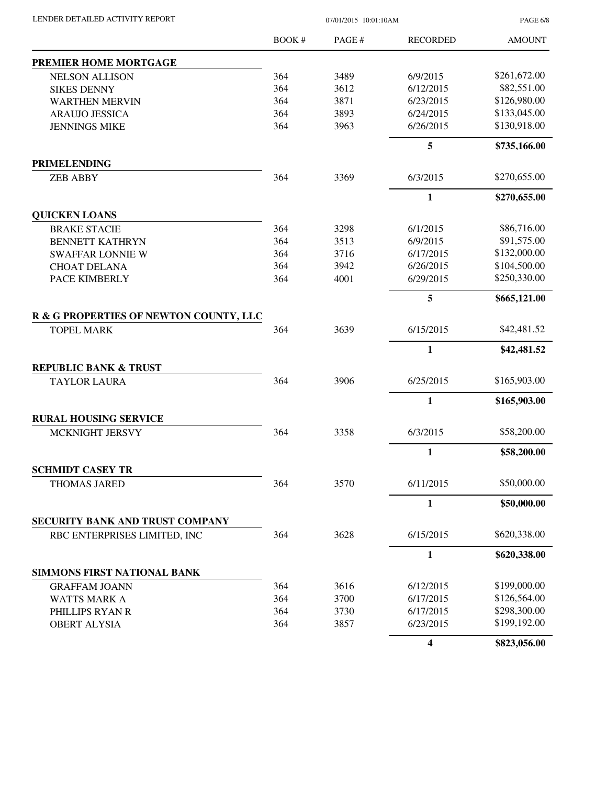| LENDER DETAILED ACTIVITY REPORT |  |
|---------------------------------|--|

 $07/01/2015$  10:01:10AM

PAGE 6/8

|                                                | BOOK# | PAGE# | <b>RECORDED</b>         | <b>AMOUNT</b> |
|------------------------------------------------|-------|-------|-------------------------|---------------|
| PREMIER HOME MORTGAGE                          |       |       |                         |               |
| <b>NELSON ALLISON</b>                          | 364   | 3489  | 6/9/2015                | \$261,672.00  |
| <b>SIKES DENNY</b>                             | 364   | 3612  | 6/12/2015               | \$82,551.00   |
| <b>WARTHEN MERVIN</b>                          | 364   | 3871  | 6/23/2015               | \$126,980.00  |
| <b>ARAUJO JESSICA</b>                          | 364   | 3893  | 6/24/2015               | \$133,045.00  |
| <b>JENNINGS MIKE</b>                           | 364   | 3963  | 6/26/2015               | \$130,918.00  |
|                                                |       |       | 5                       | \$735,166.00  |
| <b>PRIMELENDING</b>                            |       |       |                         |               |
| <b>ZEB ABBY</b>                                | 364   | 3369  | 6/3/2015                | \$270,655.00  |
|                                                |       |       | $\mathbf{1}$            | \$270,655.00  |
| <b>QUICKEN LOANS</b>                           |       |       |                         |               |
| <b>BRAKE STACIE</b>                            | 364   | 3298  | 6/1/2015                | \$86,716.00   |
| <b>BENNETT KATHRYN</b>                         | 364   | 3513  | 6/9/2015                | \$91,575.00   |
| <b>SWAFFAR LONNIE W</b>                        | 364   | 3716  | 6/17/2015               | \$132,000.00  |
| <b>CHOAT DELANA</b>                            | 364   | 3942  | 6/26/2015               | \$104,500.00  |
| PACE KIMBERLY                                  | 364   | 4001  | 6/29/2015               | \$250,330.00  |
|                                                |       |       | 5                       | \$665,121.00  |
| R & G PROPERTIES OF NEWTON COUNTY, LLC         |       |       |                         |               |
| <b>TOPEL MARK</b>                              | 364   | 3639  | 6/15/2015               | \$42,481.52   |
|                                                |       |       | 1                       | \$42,481.52   |
| <b>REPUBLIC BANK &amp; TRUST</b>               |       |       |                         |               |
| <b>TAYLOR LAURA</b>                            | 364   | 3906  | 6/25/2015               | \$165,903.00  |
|                                                |       |       | 1                       | \$165,903.00  |
| <b>RURAL HOUSING SERVICE</b>                   |       |       |                         |               |
| MCKNIGHT JERSVY                                | 364   | 3358  | 6/3/2015                | \$58,200.00   |
|                                                |       |       | $\mathbf{1}$            | \$58,200.00   |
| <b>SCHMIDT CASEY TR</b><br><b>THOMAS JARED</b> | 364   | 3570  | 6/11/2015               | \$50,000.00   |
|                                                |       |       |                         | \$50,000.00   |
| SECURITY BANK AND TRUST COMPANY                |       |       | 1                       |               |
| RBC ENTERPRISES LIMITED, INC                   | 364   | 3628  | 6/15/2015               | \$620,338.00  |
|                                                |       |       | $\mathbf{1}$            | \$620,338.00  |
| SIMMONS FIRST NATIONAL BANK                    |       |       |                         |               |
| <b>GRAFFAM JOANN</b>                           | 364   | 3616  | 6/12/2015               | \$199,000.00  |
| <b>WATTS MARK A</b>                            | 364   | 3700  | 6/17/2015               | \$126,564.00  |
| PHILLIPS RYAN R                                | 364   | 3730  | 6/17/2015               | \$298,300.00  |
| <b>OBERT ALYSIA</b>                            | 364   | 3857  | 6/23/2015               | \$199,192.00  |
|                                                |       |       | $\overline{\mathbf{4}}$ | \$823,056.00  |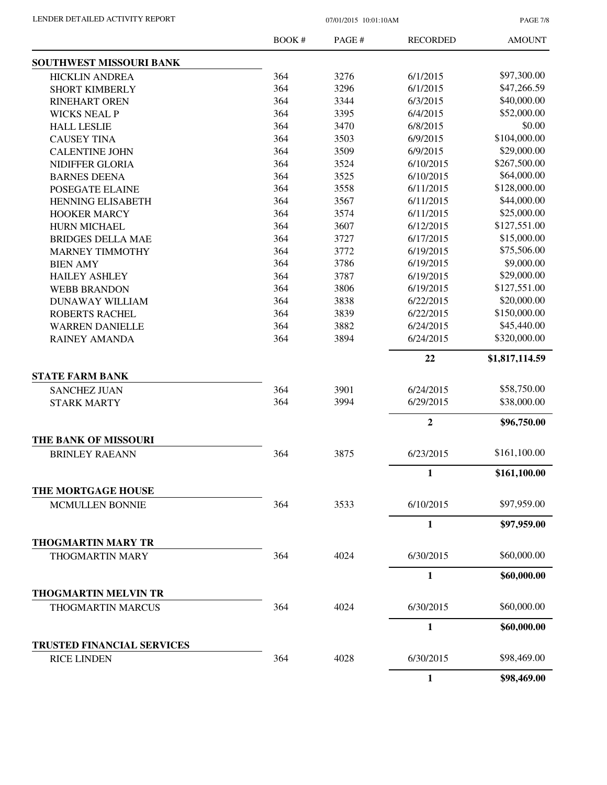PAGE 7/8

|                                   | <b>BOOK#</b> | PAGE # | <b>RECORDED</b>  | <b>AMOUNT</b>  |
|-----------------------------------|--------------|--------|------------------|----------------|
| <b>SOUTHWEST MISSOURI BANK</b>    |              |        |                  |                |
| <b>HICKLIN ANDREA</b>             | 364          | 3276   | 6/1/2015         | \$97,300.00    |
| <b>SHORT KIMBERLY</b>             | 364          | 3296   | 6/1/2015         | \$47,266.59    |
| <b>RINEHART OREN</b>              | 364          | 3344   | 6/3/2015         | \$40,000.00    |
| <b>WICKS NEAL P</b>               | 364          | 3395   | 6/4/2015         | \$52,000.00    |
| <b>HALL LESLIE</b>                | 364          | 3470   | 6/8/2015         | \$0.00         |
| <b>CAUSEY TINA</b>                | 364          | 3503   | 6/9/2015         | \$104,000.00   |
| <b>CALENTINE JOHN</b>             | 364          | 3509   | 6/9/2015         | \$29,000.00    |
| NIDIFFER GLORIA                   | 364          | 3524   | 6/10/2015        | \$267,500.00   |
| <b>BARNES DEENA</b>               | 364          | 3525   | 6/10/2015        | \$64,000.00    |
| POSEGATE ELAINE                   | 364          | 3558   | 6/11/2015        | \$128,000.00   |
| <b>HENNING ELISABETH</b>          | 364          | 3567   | 6/11/2015        | \$44,000.00    |
| <b>HOOKER MARCY</b>               | 364          | 3574   | 6/11/2015        | \$25,000.00    |
| HURN MICHAEL                      | 364          | 3607   | 6/12/2015        | \$127,551.00   |
| <b>BRIDGES DELLA MAE</b>          | 364          | 3727   | 6/17/2015        | \$15,000.00    |
| <b>MARNEY TIMMOTHY</b>            | 364          | 3772   | 6/19/2015        | \$75,506.00    |
| <b>BIEN AMY</b>                   | 364          | 3786   | 6/19/2015        | \$9,000.00     |
| <b>HAILEY ASHLEY</b>              | 364          | 3787   | 6/19/2015        | \$29,000.00    |
| <b>WEBB BRANDON</b>               | 364          | 3806   | 6/19/2015        | \$127,551.00   |
| <b>DUNAWAY WILLIAM</b>            | 364          | 3838   | 6/22/2015        | \$20,000.00    |
| <b>ROBERTS RACHEL</b>             | 364          | 3839   | 6/22/2015        | \$150,000.00   |
| <b>WARREN DANIELLE</b>            | 364          | 3882   | 6/24/2015        | \$45,440.00    |
| <b>RAINEY AMANDA</b>              | 364          | 3894   | 6/24/2015        | \$320,000.00   |
|                                   |              |        | 22               | \$1,817,114.59 |
| <b>STATE FARM BANK</b>            |              |        |                  |                |
| <b>SANCHEZ JUAN</b>               | 364          | 3901   | 6/24/2015        | \$58,750.00    |
| <b>STARK MARTY</b>                | 364          | 3994   | 6/29/2015        | \$38,000.00    |
|                                   |              |        | $\boldsymbol{2}$ | \$96,750.00    |
| THE BANK OF MISSOURI              |              |        |                  |                |
| <b>BRINLEY RAEANN</b>             | 364          | 3875   | 6/23/2015        | \$161,100.00   |
|                                   |              |        | 1                | \$161,100.00   |
| <b>THE MORTGAGE HOUSE</b>         |              |        |                  |                |
| <b>MCMULLEN BONNIE</b>            | 364          | 3533   | 6/10/2015        | \$97,959.00    |
|                                   |              |        | $\mathbf{1}$     | \$97,959.00    |
| <b>THOGMARTIN MARY TR</b>         |              |        |                  |                |
| <b>THOGMARTIN MARY</b>            | 364          | 4024   | 6/30/2015        | \$60,000.00    |
|                                   |              |        | 1                | \$60,000.00    |
| <b>THOGMARTIN MELVIN TR</b>       |              |        |                  |                |
| THOGMARTIN MARCUS                 | 364          | 4024   | 6/30/2015        | \$60,000.00    |
|                                   |              |        | 1                | \$60,000.00    |
| <b>TRUSTED FINANCIAL SERVICES</b> | 364          | 4028   | 6/30/2015        | \$98,469.00    |
| <b>RICE LINDEN</b>                |              |        |                  |                |
|                                   |              |        | $\mathbf{1}$     | \$98,469.00    |